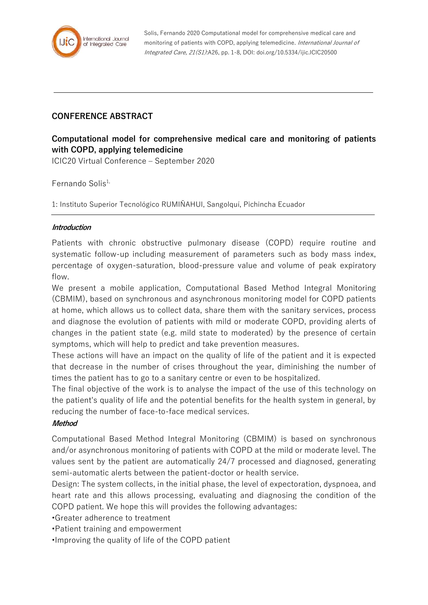

Solis, Fernando 2020 Computational model for comprehensive medical care and monitoring of patients with COPD, applying telemedicine. International Journal of Integrated Care, 21(S1):A26, pp. 1-8, DOI: doi.org/10.5334/ijic.ICIC20500

## **CONFERENCE ABSTRACT**

# **Computational model for comprehensive medical care and monitoring of patients with COPD, applying telemedicine**

ICIC20 Virtual Conference – September 2020

Fernando Solis $1$ ,

1: Instituto Superior Tecnológico RUMIÑAHUI, Sangolquí, Pichincha Ecuador

### **Introduction**

Patients with chronic obstructive pulmonary disease (COPD) require routine and systematic follow-up including measurement of parameters such as body mass index, percentage of oxygen-saturation, blood-pressure value and volume of peak expiratory flow.

We present a mobile application, Computational Based Method Integral Monitoring (CBMIM), based on synchronous and asynchronous monitoring model for COPD patients at home, which allows us to collect data, share them with the sanitary services, process and diagnose the evolution of patients with mild or moderate COPD, providing alerts of changes in the patient state (e.g. mild state to moderated) by the presence of certain symptoms, which will help to predict and take prevention measures.

These actions will have an impact on the quality of life of the patient and it is expected that decrease in the number of crises throughout the year, diminishing the number of times the patient has to go to a sanitary centre or even to be hospitalized.

The final objective of the work is to analyse the impact of the use of this technology on the patient's quality of life and the potential benefits for the health system in general, by reducing the number of face-to-face medical services.

#### **Method**

Computational Based Method Integral Monitoring (CBMIM) is based on synchronous and/or asynchronous monitoring of patients with COPD at the mild or moderate level. The values sent by the patient are automatically 24/7 processed and diagnosed, generating semi-automatic alerts between the patient-doctor or health service.

Design: The system collects, in the initial phase, the level of expectoration, dyspnoea, and heart rate and this allows processing, evaluating and diagnosing the condition of the COPD patient. We hope this will provides the following advantages:

•Greater adherence to treatment

•Patient training and empowerment

•Improving the quality of life of the COPD patient